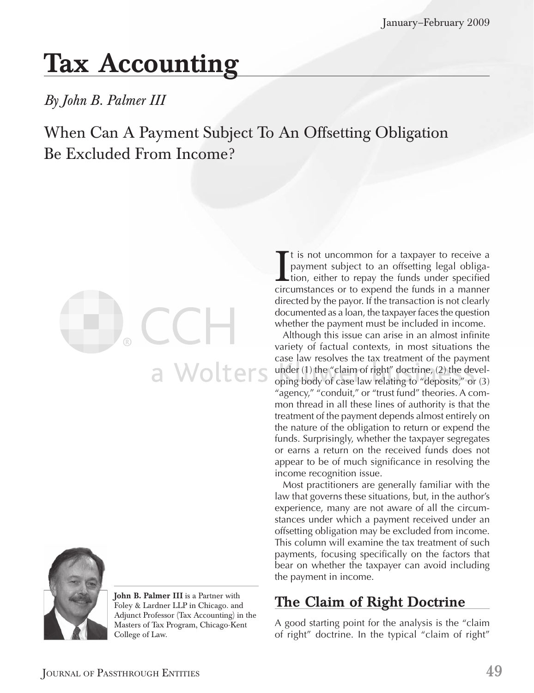# **Tax Accounting**

## *By John B. Palmer III*

# When Can A Payment Subject To An Offsetting Obligation Be Excluded From Income?





**John B. Palmer III** is a Partner with Foley & Lardner LLP in Chicago. and Adjunct Professor (Tax Accounting) in the Masters of Tax Program, Chicago-Kent College of Law.

It is not uncommon for a taxpayer to receive a<br>payment subject to an offsetting legal obliga-<br>tion, either to repay the funds under specified<br>circumstances or to expend the funds in a manner t is not uncommon for a taxpayer to receive a payment subject to an offsetting legal obliga-**L**tion, either to repay the funds under specified directed by the payor. If the transaction is not clearly documented as a loan, the taxpayer faces the question whether the payment must be included in income.

Although this issue can arise in an almost infinite variety of factual contexts, in most situations the case law resolves the tax treatment of the payment under (1) the "claim of right" doctrine, (2) the developing body of case law relating to "deposits," or (3) "agency," "conduit," or "trust fund" theories. A common thread in all these lines of authority is that the treatment of the payment depends almost entirely on the nature of the obligation to return or expend the funds. Surprisingly, whether the taxpayer segregates or earns a return on the received funds does not appear to be of much significance in resolving the income recognition issue.

Most practitioners are generally familiar with the law that governs these situations, but, in the author's experience, many are not aware of all the circumstances under which a payment received under an offsetting obligation may be excluded from income. This column will examine the tax treatment of such payments, focusing specifically on the factors that bear on whether the taxpayer can avoid including the payment in income.

## **The Claim of Right Doctrine**

A good starting point for the analysis is the "claim of right" doctrine. In the typical "claim of right"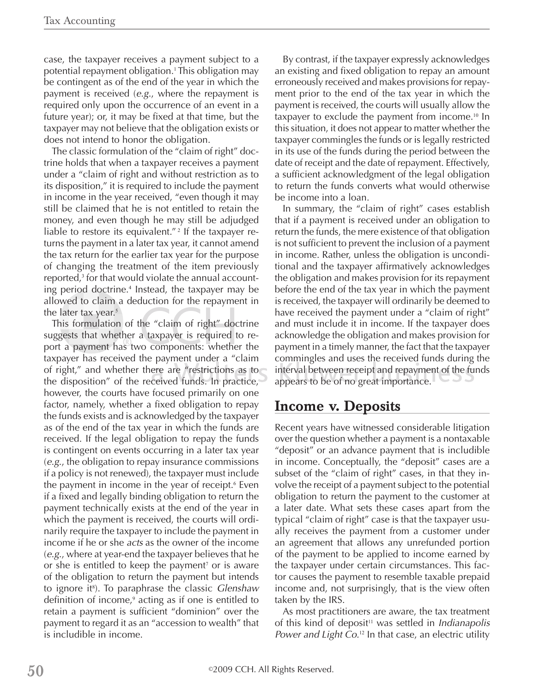case, the taxpayer receives a payment subject to a potential repayment obligation.<sup>1</sup> This obligation may be contingent as of the end of the year in which the payment is received (*e.g*., where the repayment is required only upon the occurrence of an event in a future year); or, it may be fixed at that time, but the taxpayer may not believe that the obligation exists or does not intend to honor the obligation.

The classic formulation of the "claim of right" doctrine holds that when a taxpayer receives a payment under a "claim of right and without restriction as to its disposition," it is required to include the payment in income in the year received, "even though it may still be claimed that he is not entitled to retain the money, and even though he may still be adjudged liable to restore its equivalent."<sup>2</sup> If the taxpayer returns the payment in a later tax year, it cannot amend the tax return for the earlier tax year for the purpose of changing the treatment of the item previously reported,<sup>3</sup> for that would violate the annual accounting period doctrine.<sup>4</sup> Instead, the taxpayer may be allowed to claim a deduction for the repayment in the later tax year.<sup>5</sup>

This formulation of the "claim of right" doctrine suggests that whether a taxpayer is required to report a payment has two components: whether the taxpayer has received the payment under a "claim of right," and whether there are "restrictions as to the disposition" of the received funds. In practice, however, the courts have focused primarily on one factor, namely, whether a fixed obligation to repay the funds exists and is acknowledged by the taxpayer as of the end of the tax year in which the funds are received. If the legal obligation to repay the funds is contingent on events occurring in a later tax year (*e.g*., the obligation to repay insurance commissions if a policy is not renewed), the taxpayer must include the payment in income in the year of receipt.6 Even if a fixed and legally binding obligation to return the payment technically exists at the end of the year in which the payment is received, the courts will ordinarily require the taxpayer to include the payment in income if he or she *acts* as the owner of the income (*e.g.*, where at year-end the taxpayer believes that he or she is entitled to keep the payment<sup>7</sup> or is aware of the obligation to return the payment but intends to ignore it<sup>8</sup> ). To paraphrase the classic *Glenshaw* definition of income,<sup>9</sup> acting as if one is entitled to retain a payment is sufficient "dominion" over the payment to regard it as an "accession to wealth" that is includible in income.

By contrast, if the taxpayer expressly acknowledges an existing and fixed obligation to repay an amount erroneously received and makes provisions for repayment prior to the end of the tax year in which the payment is received, the courts will usually allow the taxpayer to exclude the payment from income.10 In this situation, it does not appear to matter whether the taxpayer commingles the funds or is legally restricted in its use of the funds during the period between the date of receipt and the date of repayment. Effectively, a sufficient acknowledgment of the legal obligation to return the funds converts what would otherwise be income into a loan.

In summary, the "claim of right" cases establish that if a payment is received under an obligation to return the funds, the mere existence of that obligation is not sufficient to prevent the inclusion of a payment in income. Rather, unless the obligation is unconditional and the taxpayer affirmatively acknowledges the obligation and makes provision for its repayment before the end of the tax year in which the payment is received, the taxpayer will ordinarily be deemed to have received the payment under a "claim of right" and must include it in income. If the taxpayer does acknowledge the obligation and makes provision for payment in a timely manner, the fact that the taxpayer commingles and uses the received funds during the interval between receipt and repayment of the funds appears to be of no great importance.

#### **Income v. Deposits**

Recent years have witnessed considerable litigation over the question whether a payment is a nontaxable "deposit" or an advance payment that is includible in income. Conceptually, the "deposit" cases are a subset of the "claim of right" cases, in that they involve the receipt of a payment subject to the potential obligation to return the payment to the customer at a later date. What sets these cases apart from the typical "claim of right" case is that the taxpayer usually receives the payment from a customer under an agreement that allows any unrefunded portion of the payment to be applied to income earned by the taxpayer under certain circumstances. This factor causes the payment to resemble taxable prepaid income and, not surprisingly, that is the view often taken by the IRS.

As most practitioners are aware, the tax treatment of this kind of deposit<sup>11</sup> was settled in *Indianapolis Power and Light Co.*12 In that case, an electric utility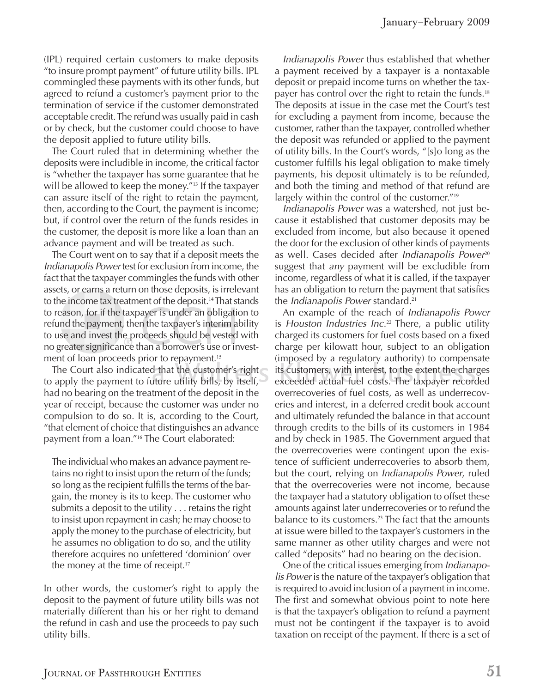(IPL) required certain customers to make deposits "to insure prompt payment" of future utility bills. IPL commingled these payments with its other funds, but agreed to refund a customer's payment prior to the termination of service if the customer demonstrated acceptable credit. The refund was usually paid in cash or by check, but the customer could choose to have the deposit applied to future utility bills.

The Court ruled that in determining whether the deposits were includible in income, the critical factor is "whether the taxpayer has some guarantee that he will be allowed to keep the money."<sup>13</sup> If the taxpayer can assure itself of the right to retain the payment, then, according to the Court, the payment is income; but, if control over the return of the funds resides in the customer, the deposit is more like a loan than an advance payment and will be treated as such.

The Court went on to say that if a deposit meets the *Indianapolis Power* test for exclusion from income, the fact that the taxpayer commingles the funds with other assets, or earns a return on those deposits, is irrelevant to the income tax treatment of the deposit.14 That stands to reason, for if the taxpayer is under an obligation to refund the payment, then the taxpayer's interim ability to use and invest the proceeds should be vested with no greater significance than a borrower's use or investment of loan proceeds prior to repayment.<sup>15</sup>

The Court also indicated that the customer's right to apply the payment to future utility bills, by itself, had no bearing on the treatment of the deposit in the year of receipt, because the customer was under no compulsion to do so. It is, according to the Court, "that element of choice that distinguishes an advance payment from a loan."16 The Court elaborated:

The individual who makes an advance payment retains no right to insist upon the return of the funds; so long as the recipient fulfills the terms of the bargain, the money is its to keep. The customer who submits a deposit to the utility . . . retains the right to insist upon repayment in cash; he may choose to apply the money to the purchase of electricity, but he assumes no obligation to do so, and the utility therefore acquires no unfettered 'dominion' over the money at the time of receipt.<sup>17</sup>

In other words, the customer's right to apply the deposit to the payment of future utility bills was not materially different than his or her right to demand the refund in cash and use the proceeds to pay such utility bills.

*Indianapolis Power* thus established that whether a payment received by a taxpayer is a nontaxable deposit or prepaid income turns on whether the taxpayer has control over the right to retain the funds.<sup>18</sup> The deposits at issue in the case met the Court's test for excluding a payment from income, because the customer, rather than the taxpayer, controlled whether the deposit was refunded or applied to the payment of utility bills. In the Court's words, "[s]o long as the customer fulfills his legal obligation to make timely payments, his deposit ultimately is to be refunded, and both the timing and method of that refund are largely within the control of the customer."<sup>19</sup>

*Indianapolis Power* was a watershed, not just because it established that customer deposits may be excluded from income, but also because it opened the door for the exclusion of other kinds of payments as well. Cases decided after *Indianapolis Power*<sup>20</sup> suggest that *any* payment will be excludible from income, regardless of what it is called, if the taxpayer has an obligation to return the payment that satisfies the *Indianapolis Power* standard.<sup>21</sup>

An example of the reach of *Indianapolis Power* is *Houston Industries Inc*. <sup>22</sup> There, a public utility charged its customers for fuel costs based on a fixed charge per kilowatt hour, subject to an obligation (imposed by a regulatory authority) to compensate its customers, with interest, to the extent the charges exceeded actual fuel costs. The taxpayer recorded overrecoveries of fuel costs, as well as underrecoveries and interest, in a deferred credit book account and ultimately refunded the balance in that account through credits to the bills of its customers in 1984 and by check in 1985. The Government argued that the overrecoveries were contingent upon the existence of sufficient underrecoveries to absorb them, but the court, relying on *Indianapolis Power*, ruled that the overrecoveries were not income, because the taxpayer had a statutory obligation to offset these amounts against later underrecoveries or to refund the balance to its customers.<sup>23</sup> The fact that the amounts at issue were billed to the taxpayer's customers in the same manner as other utility charges and were not called "deposits" had no bearing on the decision.

One of the critical issues emerging from *Indianapolis Power* is the nature of the taxpayer's obligation that is required to avoid inclusion of a payment in income. The first and somewhat obvious point to note here is that the taxpayer's obligation to refund a payment must not be contingent if the taxpayer is to avoid taxation on receipt of the payment. If there is a set of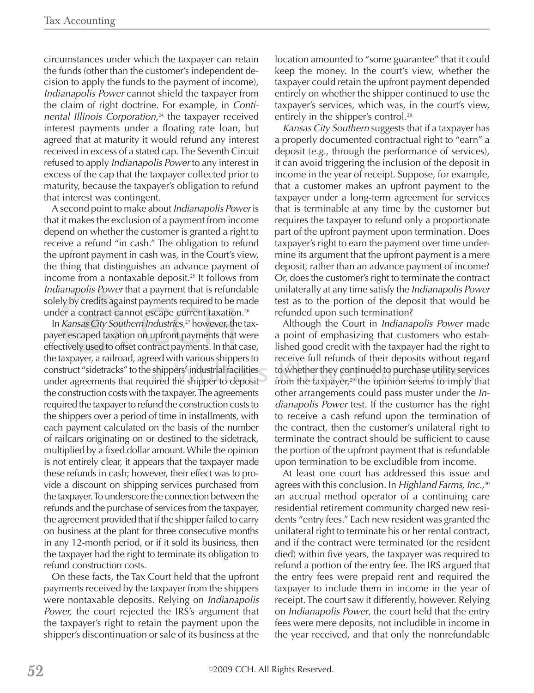circumstances under which the taxpayer can retain the funds (other than the customer's independent decision to apply the funds to the payment of income), *Indianapolis Power* cannot shield the taxpayer from the claim of right doctrine. For example, in *Continental Illinois Corporation*, <sup>24</sup> the taxpayer received interest payments under a floating rate loan, but agreed that at maturity it would refund any interest received in excess of a stated cap. The Seventh Circuit refused to apply *Indianapolis Power* to any interest in excess of the cap that the taxpayer collected prior to maturity, because the taxpayer's obligation to refund that interest was contingent.

A second point to make about *Indianapolis Power* is that it makes the exclusion of a payment from income depend on whether the customer is granted a right to receive a refund "in cash." The obligation to refund the upfront payment in cash was, in the Court's view, the thing that distinguishes an advance payment of income from a nontaxable deposit.<sup>25</sup> It follows from *Indianapolis Power* that a payment that is refundable solely by credits against payments required to be made under a contract cannot escape current taxation.<sup>26</sup>

In *Kansas City Southern Industries,*<sup>27</sup> however, the taxpayer escaped taxation on upfront payments that were effectively used to offset contract payments. In that case, the taxpayer, a railroad, agreed with various shippers to construct "sidetracks" to the shippers' industrial facilities under agreements that required the shipper to deposit the construction costs with the taxpayer. The agreements required the taxpayer to refund the construction costs to the shippers over a period of time in installments, with each payment calculated on the basis of the number of railcars originating on or destined to the sidetrack, multiplied by a fixed dollar amount. While the opinion is not entirely clear, it appears that the taxpayer made these refunds in cash; however, their effect was to provide a discount on shipping services purchased from the taxpayer. To underscore the connection between the refunds and the purchase of services from the taxpayer, the agreement provided that if the shipper failed to carry on business at the plant for three consecutive months in any 12-month period, or if it sold its business, then the taxpayer had the right to terminate its obligation to refund construction costs.

On these facts, the Tax Court held that the upfront payments received by the taxpayer from the shippers were nontaxable deposits. Relying on *Indianapolis Power,* the court rejected the IRS's argument that the taxpayer's right to retain the payment upon the shipper's discontinuation or sale of its business at the

location amounted to "some guarantee" that it could keep the money. In the court's view, whether the taxpayer could retain the upfront payment depended entirely on whether the shipper continued to use the taxpayer's services, which was, in the court's view, entirely in the shipper's control.<sup>28</sup>

*Kansas City Southern* suggests that if a taxpayer has a properly documented contractual right to "earn" a deposit (*e.g.,* through the performance of services), it can avoid triggering the inclusion of the deposit in income in the year of receipt. Suppose, for example, that a customer makes an upfront payment to the taxpayer under a long-term agreement for services that is terminable at any time by the customer but requires the taxpayer to refund only a proportionate part of the upfront payment upon termination. Does taxpayer's right to earn the payment over time undermine its argument that the upfront payment is a mere deposit, rather than an advance payment of income? Or, does the customer's right to terminate the contract unilaterally at any time satisfy the *Indianapolis Power* test as to the portion of the deposit that would be refunded upon such termination?

Although the Court in *Indianapolis Power* made a point of emphasizing that customers who established good credit with the taxpayer had the right to receive full refunds of their deposits without regard to whether they continued to purchase utility services from the taxpayer, $29$  the opinion seems to imply that other arrangements could pass muster under the *Indianapolis Power* test. If the customer has the right to receive a cash refund upon the termination of the contract, then the customer's unilateral right to terminate the contract should be sufficient to cause the portion of the upfront payment that is refundable upon termination to be excludible from income.

At least one court has addressed this issue and agrees with this conclusion. In *Highland Farms, Inc.,*<sup>30</sup> an accrual method operator of a continuing care residential retirement community charged new residents "entry fees." Each new resident was granted the unilateral right to terminate his or her rental contract, and if the contract were terminated (or the resident died) within five years, the taxpayer was required to refund a portion of the entry fee. The IRS argued that the entry fees were prepaid rent and required the taxpayer to include them in income in the year of receipt. The court saw it differently, however. Relying on *Indianapolis Power*, the court held that the entry fees were mere deposits, not includible in income in the year received, and that only the nonrefundable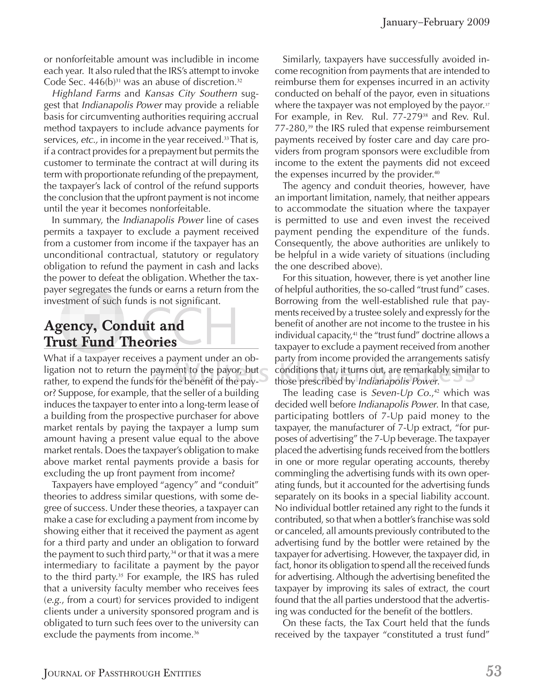or nonforfeitable amount was includible in income each year. It also ruled that the IRS's attempt to invoke Code Sec.  $446(b)^{31}$  was an abuse of discretion.<sup>32</sup>

*Highland Farms* and *Kansas City Southern* suggest that *Indianapolis Power* may provide a reliable basis for circumventing authorities requiring accrual method taxpayers to include advance payments for services, *etc.*, in income in the year received.<sup>33</sup> That is, if a contract provides for a prepayment but permits the customer to terminate the contract at will during its term with proportionate refunding of the prepayment, the taxpayer's lack of control of the refund supports the conclusion that the upfront payment is not income until the year it becomes nonforfeitable.

In summary, the *Indianapolis Power* line of cases permits a taxpayer to exclude a payment received from a customer from income if the taxpayer has an unconditional contractual, statutory or regulatory obligation to refund the payment in cash and lacks the power to defeat the obligation. Whether the taxpayer segregates the funds or earns a return from the investment of such funds is not significant.

## **Agency, Conduit and Trust Fund Theories**

What if a taxpayer receives a payment under an obligation not to return the payment to the payor, but rather, to expend the funds for the benefit of the payor? Suppose, for example, that the seller of a building induces the taxpayer to enter into a long-term lease of a building from the prospective purchaser for above market rentals by paying the taxpayer a lump sum amount having a present value equal to the above market rentals. Does the taxpayer's obligation to make above market rental payments provide a basis for excluding the up front payment from income?

Taxpayers have employed "agency" and "conduit" theories to address similar questions, with some degree of success. Under these theories, a taxpayer can make a case for excluding a payment from income by showing either that it received the payment as agent for a third party and under an obligation to forward the payment to such third party,<sup>34</sup> or that it was a mere intermediary to facilitate a payment by the payor to the third party.<sup>35</sup> For example, the IRS has ruled that a university faculty member who receives fees (*e.g*., from a court) for services provided to indigent clients under a university sponsored program and is obligated to turn such fees over to the university can exclude the payments from income.<sup>36</sup>

Similarly, taxpayers have successfully avoided income recognition from payments that are intended to reimburse them for expenses incurred in an activity conducted on behalf of the payor, even in situations where the taxpayer was not employed by the payor.<sup>37</sup> For example, in Rev. Rul. 77-279<sup>38</sup> and Rev. Rul.  $77-280$ ,<sup>39</sup> the IRS ruled that expense reimbursement payments received by foster care and day care providers from program sponsors were excludible from income to the extent the payments did not exceed the expenses incurred by the provider.<sup>40</sup>

The agency and conduit theories, however, have an important limitation, namely, that neither appears to accommodate the situation where the taxpayer is permitted to use and even invest the received payment pending the expenditure of the funds. Consequently, the above authorities are unlikely to be helpful in a wide variety of situations (including the one described above).

For this situation, however, there is yet another line of helpful authorities, the so-called "trust fund" cases. Borrowing from the well-established rule that payments received by a trustee solely and expressly for the benefit of another are not income to the trustee in his individual capacity,<sup>41</sup> the "trust fund" doctrine allows a taxpayer to exclude a payment received from another party from income provided the arrangements satisfy conditions that, it turns out, are remarkably similar to those prescribed by *Indianapolis Power*.

The leading case is *Seven-Up Co.*, <sup>42</sup> which was decided well before *Indianapolis Power*. In that case, participating bottlers of 7-Up paid money to the taxpayer, the manufacturer of 7-Up extract, "for purposes of advertising" the 7-Up beverage. The taxpayer placed the advertising funds received from the bottlers in one or more regular operating accounts, thereby commingling the advertising funds with its own operating funds, but it accounted for the advertising funds separately on its books in a special liability account. No individual bottler retained any right to the funds it contributed, so that when a bottler's franchise was sold or canceled, all amounts previously contributed to the advertising fund by the bottler were retained by the taxpayer for advertising. However, the taxpayer did, in fact, honor its obligation to spend all the received funds for advertising. Although the advertising benefited the taxpayer by improving its sales of extract, the court found that the all parties understood that the advertising was conducted for the benefit of the bottlers.

On these facts, the Tax Court held that the funds received by the taxpayer "constituted a trust fund"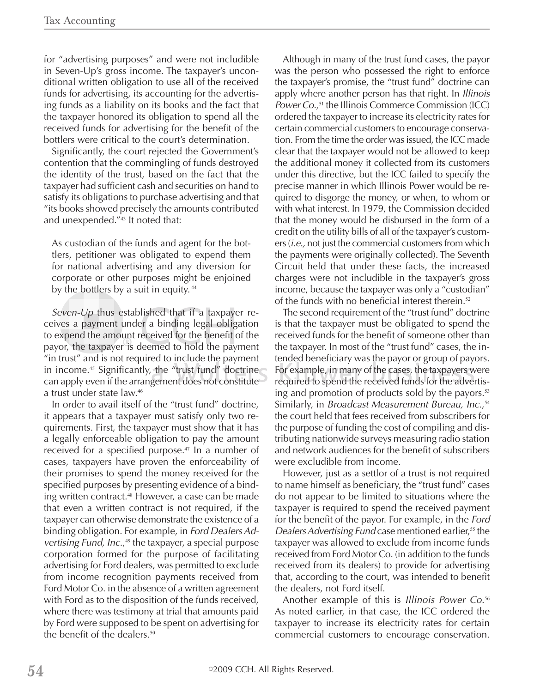for "advertising purposes" and were not includible in Seven-Up's gross income. The taxpayer's unconditional written obligation to use all of the received funds for advertising, its accounting for the advertising funds as a liability on its books and the fact that the taxpayer honored its obligation to spend all the received funds for advertising for the benefit of the bottlers were critical to the court's determination.

Significantly, the court rejected the Government's contention that the commingling of funds destroyed the identity of the trust, based on the fact that the taxpayer had sufficient cash and securities on hand to satisfy its obligations to purchase advertising and that "its books showed precisely the amounts contributed and unexpended."43 It noted that:

As custodian of the funds and agent for the bottlers, petitioner was obligated to expend them for national advertising and any diversion for corporate or other purposes might be enjoined by the bottlers by a suit in equity.<sup>44</sup>

*Seven-Up* thus established that if a taxpayer receives a payment under a binding legal obligation to expend the amount received for the benefit of the payor, the taxpayer is deemed to hold the payment "in trust" and is not required to include the payment in income.<sup>45</sup> Significantly, the "trust fund" doctrine can apply even if the arrangement does not constitute a trust under state law.<sup>46</sup>

In order to avail itself of the "trust fund" doctrine, it appears that a taxpayer must satisfy only two requirements. First, the taxpayer must show that it has a legally enforceable obligation to pay the amount received for a specified purpose.<sup>47</sup> In a number of cases, taxpayers have proven the enforceability of their promises to spend the money received for the specified purposes by presenting evidence of a binding written contract.<sup>48</sup> However, a case can be made that even a written contract is not required, if the taxpayer can otherwise demonstrate the existence of a binding obligation. For example, in *Ford Dealers Advertising Fund, Inc.*, <sup>49</sup> the taxpayer, a special purpose corporation formed for the purpose of facilitating advertising for Ford dealers, was permitted to exclude from income recognition payments received from Ford Motor Co. in the absence of a written agreement with Ford as to the disposition of the funds received, where there was testimony at trial that amounts paid by Ford were supposed to be spent on advertising for the benefit of the dealers.<sup>50</sup>

Although in many of the trust fund cases, the payor was the person who possessed the right to enforce the taxpayer's promise, the "trust fund" doctrine can apply where another person has that right. In *Illinois Power Co.*,<sup>51</sup> the Illinois Commerce Commission (ICC) ordered the taxpayer to increase its electricity rates for certain commercial customers to encourage conservation. From the time the order was issued, the ICC made clear that the taxpayer would not be allowed to keep the additional money it collected from its customers under this directive, but the ICC failed to specify the precise manner in which Illinois Power would be required to disgorge the money, or when, to whom or with what interest. In 1979, the Commission decided that the money would be disbursed in the form of a credit on the utility bills of all of the taxpayer's customers (*i.e.,* not just the commercial customers from which the payments were originally collected). The Seventh Circuit held that under these facts, the increased charges were not includible in the taxpayer's gross income, because the taxpayer was only a "custodian" of the funds with no beneficial interest therein.<sup>52</sup>

The second requirement of the "trust fund" doctrine is that the taxpayer must be obligated to spend the received funds for the benefit of someone other than the taxpayer. In most of the "trust fund" cases, the intended beneficiary was the payor or group of payors. For example, in many of the cases, the taxpayers were required to spend the received funds for the advertising and promotion of products sold by the payors.<sup>53</sup> Similarly, in *Broadcast Measurement Bureau, Inc.*, 54 the court held that fees received from subscribers for the purpose of funding the cost of compiling and distributing nationwide surveys measuring radio station and network audiences for the benefit of subscribers were excludible from income.

However, just as a settlor of a trust is not required to name himself as beneficiary, the "trust fund" cases do not appear to be limited to situations where the taxpayer is required to spend the received payment for the benefit of the payor. For example, in the *Ford Dealers Advertising Fund case mentioned earlier,*<sup>55</sup> the taxpayer was allowed to exclude from income funds received from Ford Motor Co. (in addition to the funds received from its dealers) to provide for advertising that, according to the court, was intended to benefit the dealers, not Ford itself.

Another example of this is *Illinois Power Co.*<sup>56</sup> As noted earlier, in that case, the ICC ordered the taxpayer to increase its electricity rates for certain commercial customers to encourage conservation.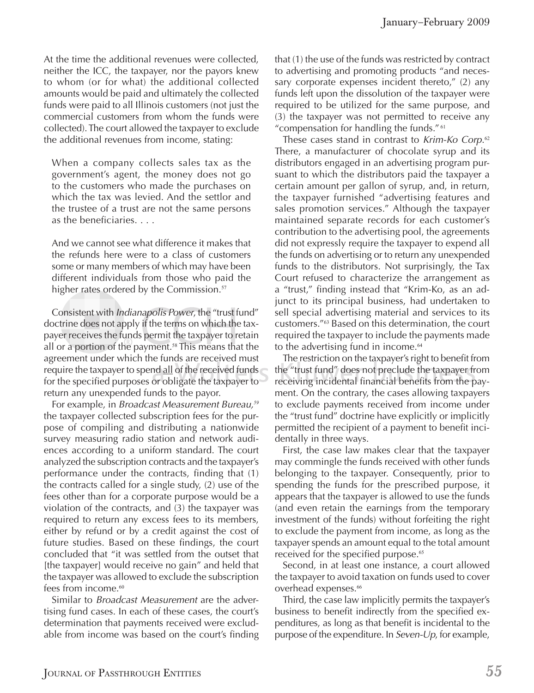At the time the additional revenues were collected, neither the ICC, the taxpayer, nor the payors knew to whom (or for what) the additional collected amounts would be paid and ultimately the collected funds were paid to all Illinois customers (not just the commercial customers from whom the funds were collected). The court allowed the taxpayer to exclude the additional revenues from income, stating:

When a company collects sales tax as the government's agent, the money does not go to the customers who made the purchases on which the tax was levied. And the settlor and the trustee of a trust are not the same persons as the beneficiaries.  $\ldots$ 

And we cannot see what difference it makes that the refunds here were to a class of customers some or many members of which may have been different individuals from those who paid the higher rates ordered by the Commission.<sup>57</sup>

Consistent with *Indianapolis Power*, the "trust fund" doctrine does not apply if the terms on which the taxpayer receives the funds permit the taxpayer to retain all or a portion of the payment.<sup>58</sup> This means that the agreement under which the funds are received must require the taxpayer to spend all of the received funds for the specified purposes or obligate the taxpayer to return any unexpended funds to the payor.

For example, in *Broadcast Measurement Bureau,<sup>59</sup>* the taxpayer collected subscription fees for the purpose of compiling and distributing a nationwide survey measuring radio station and network audiences according to a uniform standard. The court analyzed the subscription contracts and the taxpayer's performance under the contracts, finding that (1) the contracts called for a single study, (2) use of the fees other than for a corporate purpose would be a violation of the contracts, and (3) the taxpayer was required to return any excess fees to its members, either by refund or by a credit against the cost of future studies. Based on these findings, the court concluded that "it was settled from the outset that [the taxpayer] would receive no gain" and held that the taxpayer was allowed to exclude the subscription fees from income.<sup>60</sup>

Similar to *Broadcast Measurement* are the advertising fund cases. In each of these cases, the court's determination that payments received were excludable from income was based on the court's finding that (1) the use of the funds was restricted by contract to advertising and promoting products "and necessary corporate expenses incident thereto," (2) any funds left upon the dissolution of the taxpayer were required to be utilized for the same purpose, and (3) the taxpayer was not permitted to receive any "compensation for handling the funds."<sup>61</sup>

These cases stand in contrast to *Krim-Ko Corp*. 62 There, a manufacturer of chocolate syrup and its distributors engaged in an advertising program pursuant to which the distributors paid the taxpayer a certain amount per gallon of syrup, and, in return, the taxpayer furnished "advertising features and sales promotion services." Although the taxpayer maintained separate records for each customer's contribution to the advertising pool, the agreements did not expressly require the taxpayer to expend all the funds on advertising or to return any unexpended funds to the distributors. Not surprisingly, the Tax Court refused to characterize the arrangement as a "trust," finding instead that "Krim-Ko, as an adjunct to its principal business, had undertaken to sell special advertising material and services to its customers."63 Based on this determination, the court required the taxpayer to include the payments made to the advertising fund in income.<sup>64</sup>

The restriction on the taxpayer's right to benefit from the "trust fund" does not preclude the taxpayer from receiving incidental financial benefits from the payment. On the contrary, the cases allowing taxpayers to exclude payments received from income under the "trust fund" doctrine have explicitly or implicitly permitted the recipient of a payment to benefit incidentally in three ways.

First, the case law makes clear that the taxpayer may commingle the funds received with other funds belonging to the taxpayer. Consequently, prior to spending the funds for the prescribed purpose, it appears that the taxpayer is allowed to use the funds (and even retain the earnings from the temporary investment of the funds) without forfeiting the right to exclude the payment from income, as long as the taxpayer spends an amount equal to the total amount received for the specified purpose.<sup>65</sup>

Second, in at least one instance, a court allowed the taxpayer to avoid taxation on funds used to cover overhead expenses.<sup>66</sup>

Third, the case law implicitly permits the taxpayer's business to benefit indirectly from the specified expenditures, as long as that benefit is incidental to the purpose of the expenditure. In *Seven-Up*, for example,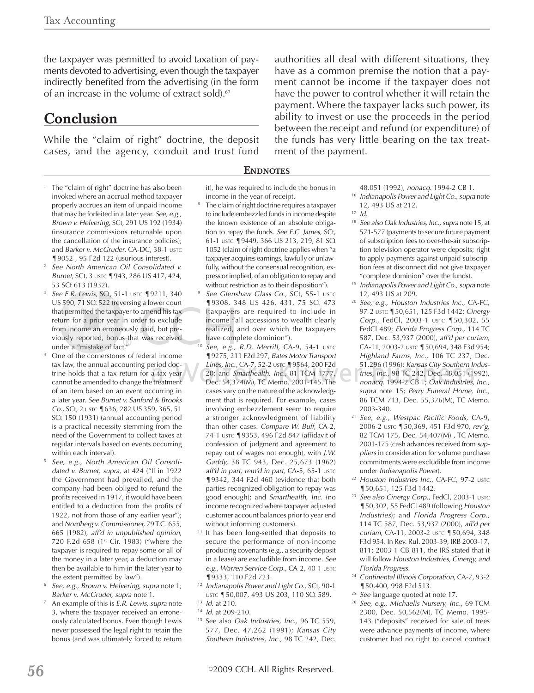the taxpayer was permitted to avoid taxation of payments devoted to advertising, even though the taxpayer indirectly benefited from the advertising (in the form of an increase in the volume of extract sold).<sup>67</sup>

## **Conclusion**

While the "claim of right" doctrine, the deposit cases, and the agency, conduit and trust fund

- <sup>1</sup> The "claim of right" doctrine has also been invoked where an accrual method taxpayer properly accrues an item of unpaid income that may be forfeited in a later year. *See, e.g., Brown v. Helvering*, SCt, 291 US 192 (1934) (insurance commissions returnable upon the cancellation of the insurance policies); and *Barker v. McGruder*, CA-DC, 38-1 USTC ¶9052 , 95 F2d 122 (usurious interest).
- 2 *See North American Oil Consolidated v. Burnet*, SCt, 3 USTC ¶943, 286 US 417, 424, 53 SCt 613 (1932).
- *See E.R. Lewis,* SCt, 51-1 USTC ¶9211, 340 US 590, 71 SCt 522 (reversing a lower court that permitted the taxpayer to amend his tax return for a prior year in order to exclude from income an erroneously paid, but previously reported, bonus that was received under a "mistake of fact."
- 4 One of the cornerstones of federal income tax law, the annual accounting period doctrine holds that a tax return for a tax year cannot be amended to change the treatment of an item based on an event occurring in a later year. *See Burnet v. Sanford & Brooks Co.,* SCt, 2 USTC ¶636, 282 US 359, 365, 51 SCt 150 (1931) (annual accounting period is a practical necessity stemming from the need of the Government to collect taxes at regular intervals based on events occurring within each interval).
- 5 *See, e.g., North American Oil Consolidated v. Burnet, supra*, at 424 ("If in 1922 the Government had prevailed, and the company had been obliged to refund the profits received in 1917, it would have been entitled to a deduction from the profits of 1922, not from those of any earlier year"); and *Nordberg v. Commissioner,* 79 T.C. 655, 665 (1982), *aff'd in unpublished opinion*, 720 F.2d 658 (1st Cir. 1983) ("where the taxpayer is required to repay some or all of the money in a later year, a deduction may then be available to him in the later year to
- the extent permitted by law"). 6 *See, e.g., Brown v. Helvering*, *supra* note 1; *Barker v. McGruder, supra* note 1.
- 7 An example of this is *E.R. Lewis, supra* note 3, where the taxpayer received an erroneously calculated bonus. Even though Lewis never possessed the legal right to retain the bonus (and was ultimately forced to return

it), he was required to include the bonus in income in the year of receipt.

**ENDNOTES**

- 8 The claim of right doctrine requires a taxpayer to include embezzled funds in income despite the known existence of an absolute obligation to repay the funds. *See E.C. James,* SCt, 61-1 USTC ¶9449, 366 US 213, 219, 81 SCt 1052 (claim of right doctrine applies when "a taxpayer acquires earnings, lawfully or unlawfully, without the consensual recognition, express or implied, of an obligation to repay and
- without restriction as to their disposition").<br>See Glenshaw Glass Co., SCt, 55-1 USTC ¶9308, 348 US 426, 431, 75 SCt 473 (taxpayers are required to include in income "all accessions to wealth clearly realized, and over which the taxpayers have complete dominion").
- 10 *See*, *e.g., R.D. Merrill,* CA-9, 54-1 USTC ¶9275, 211 F2d 297, *Bates Motor Transport Lines, Inc.,* CA-7, 52-2 USTC ¶9564, 200 F2d 20; and *Smarthealth, Inc*., 81 TCM 1777, Dec. 54,374(M), TC Memo. 2001-145. The cases vary on the nature of the acknowledgment that is required. For example, cases involving embezzlement seem to require a stronger acknowledgment of liability than other cases. *Compare W. Buff,* CA-2, 74-1 USTC 19353, 496 F2d 847 (affidavit of confession of judgment and agreement to repay out of wages not enough), with *J.W. Gaddy,* 38 TC 943, Dec. 25,673 (1962) *aff'd in part, rem'd in part,* CA-5, 65-1 USTC ¶9342, 344 F2d 460 (evidence that both parties recognized obligation to repay was good enough); and *Smarthealth, Inc.* (no income recognized where taxpayer adjusted customer account balances prior to year end
- without informing customers).<br><sup>11</sup> It has been long-settled that deposits to secure the performance of non-income producing covenants (e.g., a security deposit in a lease) are excludible from income. *See e.g., Warren Service Corp.,* CA-2, 40-1 USTC ¶9333, 110 F2d 723.
- 12 *Indianapolis Power and Light Co.,* SCt, 90-1 USTC ¶50,007, 493 US 203, 110 SCt 589.
- 13 *Id.* at 210.
- 14 *Id.* at 209-210.
- 15 See also *Oak Industries, Inc.,* 96 TC 559, 577, Dec. 47,262 (1991); *Kansas City Southern Industries, Inc.,* 98 TC 242, Dec.

authorities all deal with different situations, they have as a common premise the notion that a payment cannot be income if the taxpayer does not have the power to control whether it will retain the payment. Where the taxpayer lacks such power, its ability to invest or use the proceeds in the period between the receipt and refund (or expenditure) of the funds has very little bearing on the tax treatment of the payment.

48,051 (1992), *nonacq.* 1994-2 CB 1.

<sup>16</sup> *Indianapolis Power and Light Co., supra* note 12*,* 493 US at 212.

17 *Id.*

- <sup>18</sup> *See also Oak Industries, Inc., supra* note 15, at 571-577 (payments to secure future payment of subscription fees to over-the-air subscription television operator were deposits; right to apply payments against unpaid subscription fees at disconnect did not give taxpayer
- "complete dominion" over the funds). 19 *Indianapolis Power and Light Co.,supra* note 12*,* 493 US at 209.
- 20 *See, e.g., Houston Industries Inc.*, CA-FC, 97-2 USTC ¶50,651, 125 F3d 1442; *Cinergy Corp*., FedCl, 2003-1 USTC ¶50,302, 55 FedCl 489; *Florida Progress Corp.,* 114 TC 587, Dec. 53,937 (2000), *aff'd per curiam*, CA-11, 2003-2 USTC ¶50,694, 348 F3d 954; *Highland Farms, Inc.*, 106 TC 237, Dec. 51,296 (1996); *Kansas City Southern Industries, Inc.,* 98 TC 242, Dec. 48,051 (1992), *nonacq.* 1994-2 CB 1; *Oak Industries, Inc., supra* note 15; *Perry Funeral Home, Inc.,* 86 TCM 713, Dec. 55,376(M), TC Memo.
- 2003-340. 21 *See, e.g.*, *Westpac Pacific Foods,* CA-9, 2006-2 USTC ¶50,369, 451 F3d 970, *rev'g*, 82 TCM 175, Dec. 54,407(M) , TC Memo. 2001-175 (cash advances received from *suppliers* in consideration for volume purchase commitments were excludible from income under *Indianapolis Power*).
- <sup>22</sup> Houston Industries Inc., CA-FC, 97-2 USTC ¶50,651, 125 F3d 1442.
- <sup>23</sup> See also Cinergy Corp., FedCl, 2003-1 USTC ¶50,302, 55 FedCl 489 (following *Houston Industries*); and *Florida Progress Corp.,*  114 TC 587, Dec. 53,937 (2000), *aff'd per curiam*, CA-11, 2003-2 USTC ¶50,694, 348 F3d 954. In Rev. Rul. 2003-39, IRB 2003-17, 811; 2003-1 CB 811, the IRS stated that it will follow *Houston Industries, Cinergy, and Florida Progress.*
- 24 *Continental Illinois Corporation*, CA-7, 93-2 ¶50,400, 998 F2d 513.
- 25 *See* language quoted at note 17.
- 26 *See, e.g., Michaelis Nursery, Inc.,* 69 TCM 2300, Dec. 50,562(M), TC Memo. 1995- 143 ("deposits" received for sale of trees were advance payments of income, where customer had no right to cancel contract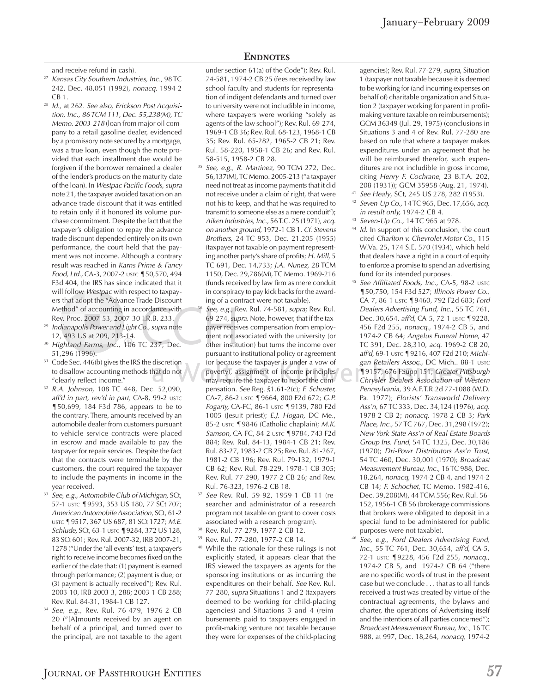and receive refund in cash).

- 27 *Kansas City Southern Industries, Inc.,* 98 TC 242, Dec. 48,051 (1992), *nonacq.* 1994-2  $CB<sub>1</sub>$
- 28 *Id.,* at 262. *See also, Erickson Post Acquisition, Inc., 86 TCM 111, Dec. 55,238(M), TC Memo. 2003-218* (loan from major oil company to a retail gasoline dealer, evidenced by a promissory note secured by a mortgage, was a true loan, even though the note provided that each installment due would be forgiven if the borrower remained a dealer of the lender's products on the maturity date of the loan). In *Westpac Pacific Foods, supra* note 21, the taxpayer avoided taxation on an advance trade discount that it was entitled to retain only if it honored its volume purchase commitment. Despite the fact that the taxpayer's obligation to repay the advance trade discount depended entirely on its own performance, the court held that the payment was not income. Although a contrary result was reached in *Karns Prime & Fancy Food, Ltd.,* CA-3, 2007-2 USTC ¶50,570, 494 F3d 404, the IRS has since indicated that it will follow *Westpac* with respect to taxpayers that adopt the "Advance Trade Discount Method" of accounting in accordance with
- Rev. Proc. 2007-53, 2007-30 I.R.B. 233.<br><sup>29</sup> *Indianapolis Power and Light Co., supra* note 12*,* 493 US at 209, 213-14.
- 30 *Highland Farms, Inc.*, 106 TC 237, Dec. 51,296 (1996).
- <sup>31</sup> Code Sec. 446(b) gives the IRS the discretion to disallow accounting methods that do not "clearly reflect income."
- 32 *R.A. Johnson,* 108 TC 448, Dec. 52,090, *aff'd in part, rev'd in part,* CA-8, 99-2 USTC ¶50,699, 184 F3d 786, appears to be to the contrary. There, amounts received by an automobile dealer from customers pursuant to vehicle service contracts were placed in escrow and made available to pay the taxpayer for repair services. Despite the fact that the contracts were terminable by the customers, the court required the taxpayer to include the payments in income in the
- year received. 33 *See*, *e.g., Automobile Club of Michigan,* SCt, 57-1 USTC ¶9593, 353 US 180, 77 SCt 707; *American Automobile Association*, SCt, 61-2 USTC ¶9517, 367 US 687, 81 SCt 1727; *M.E. Schlude,* SCt, 63-1 USTC ¶9284, 372 US 128, 83 SCt 601; Rev. Rul. 2007-32, IRB 2007-21, 1278 ("Under the 'all events' test, a taxpayer's right to receive income becomes fixed on the earlier of the date that: (1) payment is earned through performance; (2) payment is due; or (3) payment is actually received"); Rev. Rul. 2003-10, IRB 2003-3, 288; 2003-1 CB 288; Rev. Rul. 84-31, 1984-1 CB 127.
- 34 *See, e.g.,* Rev. Rul. 76-479, 1976-2 CB 20 ("[A]mounts received by an agent on behalf of a principal, and turned over to the principal, are not taxable to the agent

#### **ENDNOTES**

under section 61(a) of the Code"); Rev. Rul. 74-581, 1974-2 CB 25 (fees received by law school faculty and students for representation of indigent defendants and turned over to university were not includible in income, where taxpayers were working "solely as agents of the law school"); Rev. Rul. 69-274, 1969-1 CB 36; Rev. Rul. 68-123, 1968-1 CB 35; Rev. Rul. 65-282, 1965-2 CB 21; Rev. Rul. 58-220, 1958-1 CB 26; and Rev. Rul.

- 58-515, 1958-2 CB 28. 35 *See, e.g., R. Martinez,* 90 TCM 272, Dec. 56,137(M), TC Memo. 2005-213 ("a taxpayer need not treat as income payments that it did not receive under a claim of right, that were not his to keep, and that he was required to transmit to someone else as a mere conduit"); *Aiken Industries, Inc.,* 56 T.C. 25 (1971), *acq. on another ground*, 1972-1 CB 1. *Cf*. *Stevens Brothers,* 24 TC 953, Dec. 21,205 (1955) (taxpayer not taxable on payment representing another party's share of profits; *H. Mill*, 5 TC 691, Dec. 14,733; *J.A. Nunez,* 28 TCM 1150, Dec. 29,786(M), TC Memo. 1969-216 (funds received by law firm as mere conduit in conspiracy to pay kick backs for the awarding of a contract were not taxable). 36 *See, e.g*., Rev. Rul. 74-581, *supra*; Rev. Rul.
- 69-274, *supra*. Note, however, that if the taxpayer receives compensation from employment not associated with the university (or other institution) but turns the income over pursuant to institutional policy or agreement (or because the taxpayer is under a vow of poverty), assignment of income principles may require the taxpayer to report the compensation. *See* Reg. §1.61-2(c); *F. Schuster,*  CA-7, 86-2 USTC ¶9664, 800 F2d 672; *G.P. Fogarty,* CA-FC, 86-1 USTC ¶9139, 780 F2d 1005 (Jesuit priest); *E.J. Hogan,* DC Me., 85-2 USTC ¶9846 (Catholic chaplain); *M.K. Samson,* CA-FC, 84-2 USTC ¶9784, 743 F2d 884; Rev. Rul. 84-13, 1984-1 CB 21; Rev. Rul. 83-27, 1983-2 CB 25; Rev. Rul. 81-267, 1981-2 CB 196; Rev. Rul. 79-132, 1979-1 CB 62; Rev. Rul. 78-229, 1978-1 CB 305; Rev. Rul. 77-290, 1977-2 CB 26; and Rev. Rul. 76-323, 1976-2 CB 18. 37 *See* Rev. Rul. 59-92, 1959-1 CB 11 (re-
- searcher and administrator of a research program not taxable on grant to cover costs
- associated with a research program).<br><sup>38</sup> Rev. Rul. 77-279, 1977-2 CB 12.
- 39 Rev. Rul. 77-280, 1977-2 CB 14.
- 40 While the rationale for these rulings is not explicitly stated, it appears clear that the IRS viewed the taxpayers as agents for the sponsoring institutions or as incurring the expenditures on their behalf. *See* Rev. Rul. 77-280, *supra* Situations 1 and 2 (taxpayers deemed to be working for child-placing agencies) and Situations 3 and 4 (reimbursements paid to taxpayers engaged in profit-making venture not taxable because they were for expenses of the child-placing

agencies); Rev. Rul. 77-279, *supra*, Situation 1 (taxpayer not taxable because it is deemed to be working for (and incurring expenses on behalf of) charitable organization and Situation 2 (taxpayer working for parent in profitmaking venture taxable on reimbursements); GCM 36349 (Jul. 29, 1975) (conclusions in Situations 3 and 4 of Rev. Rul. 77-280 are based on rule that where a taxpayer makes expenditures under an agreement that he will be reimbursed therefor, such expenditures are not includible in gross income, citing *Henry F. Cochrane*, 23 B.T.A. 202, 208 (1931)); GCM 35958 (Aug. 21, 1974).

- 41 *See Healy*, SCt, 245 US 278, 282 (1953).
- 42 *Seven-Up Co.,* 14 TC 965, Dec. 17,656, *acq. in result only,* 1974-2 CB 4.
- 43 *Seven-Up Co.,* 14 TC 965 at 978.
- 44 *Id*. In support of this conclusion, the court cited *Charlton v. Chevrolet Motor Co.*, 115 W.Va. 25, 174 S.E. 570 (1934), which held that dealers have a right in a court of equity to enforce a promise to spend an advertising fund for its intended purposes.
- 45 See Affiliated Foods, Inc., CA-5, 98-2 USTC ¶50,750, 154 F3d 527; *Illinois Power Co.,* CA-7, 86-1 USTC ¶9460, 792 F2d 683; *Ford Dealers Advertising Fund, Inc.*, 55 TC 761, Dec. 30,654, *aff'd*, CA-5, 72-1 USTC ¶9228, 456 F2d 255, *nonacq*., 1974-2 CB 5, and 1974-2 CB 64; *Angelus Funeral Home*, 47 TC 391, Dec. 28,310, *acq*. 1969-2 CB 20, *aff'd*, 69-1 USTC ¶9216, 407 F2d 210; *Michigan Retailers Assoc.,* DC Mich.. 88-1 USTC ¶9157, 676 FSupp 151; *Greater Pittsburgh*
- *Chrysler Dealers Association of Western Pennsylvania*, 39 A.F.T.R.2d 77-1088 (W.D. Pa. 1977); *Florists' Transworld Delivery Ass'n,* 67 TC 333, Dec. 34,124 (1976), *acq.* 1978-2 CB 2; *nonacq.* 1978-2 CB 3; *Park Place, Inc.,* 57 TC 767, Dec. 31,298 (1972); *New York State Ass'n of Real Estate Boards Group Ins. Fund*, 54 TC 1325, Dec. 30,186 (1970); *Dri-Powr Distributors Ass'n Trust*, 54 TC 460, Dec. 30,001 (1970); *Broadcast Measurement Bureau, Inc.*, 16 TC 988, Dec. 18,264, *nonacq,* 1974-2 CB 4, and 1974-2 CB 14; *F. Schochet*, TC Memo. 1982-416, Dec. 39,208(M), 44 TCM 556; Rev. Rul. 56- 152, 1956-1 CB 56 (brokerage commissions that brokers were obligated to deposit in a special fund to be administered for public purposes were not taxable).
- 46 *See, e.g., Ford Dealers Advertising Fund, Inc.*, 55 TC 761, Dec. 30,654, *aff'd*, CA-5, 72-1 USTC ¶9228, 456 F2d 255, *nonacq*., 1974-2 CB 5, and 1974-2 CB 64 ("there are no specific words of trust in the present case but we conclude . . . that as to all funds received a trust was created by virtue of the contractual agreements, the bylaws and charter, the operations of Advertising itself and the intentions of all parties concerned"); *Broadcast Measurement Bureau, Inc.*, 16 TC 988, at 997, Dec. 18,264, *nonacq,* 1974-2